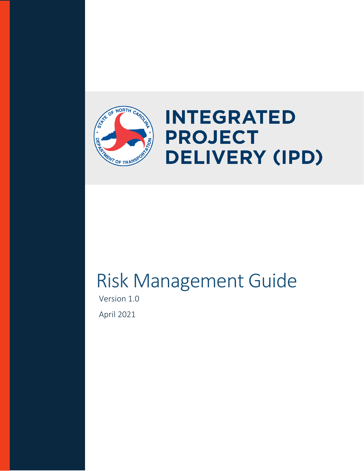

# **INTEGRATED PROJECT DELIVERY (IPD)**

# Risk Management Guide

Version 1.0 April 2021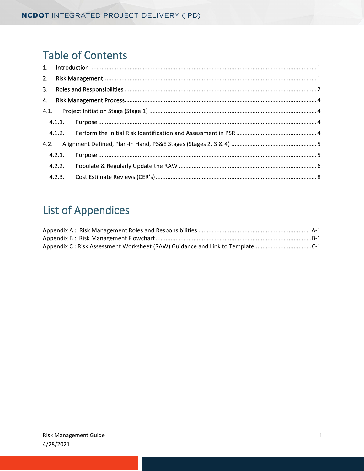## **Table of Contents**

| 2.   |        |  |
|------|--------|--|
| 3.   |        |  |
| 4.   |        |  |
|      |        |  |
|      |        |  |
|      |        |  |
| 4.2. |        |  |
|      | 4.2.1. |  |
|      | 4.2.2. |  |
|      | 4.2.3. |  |

# **List of Appendices**

| Appendix C: Risk Assessment Worksheet (RAW) Guidance and Link to TemplateC-1 |  |
|------------------------------------------------------------------------------|--|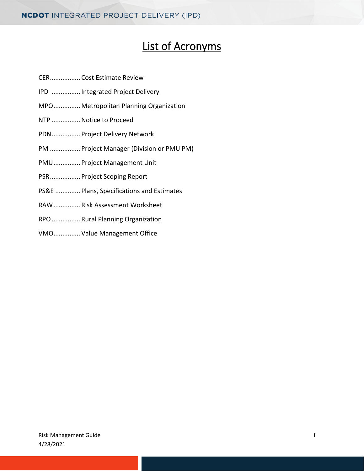## List of Acronyms

- CER................. Cost Estimate Review
- IPD ................ Integrated Project Delivery
- MPO............... Metropolitan Planning Organization
- NTP ................Notice to Proceed
- PDN................ Project Delivery Network
- PM ................. Project Manager (Division or PMU PM)
- PMU............... Project Management Unit
- PSR................. Project Scoping Report
- PS&E .............. Plans, Specifications and Estimates
- RAW............... Risk Assessment Worksheet
- RPO................ Rural Planning Organization
- VMO............... Value Management Office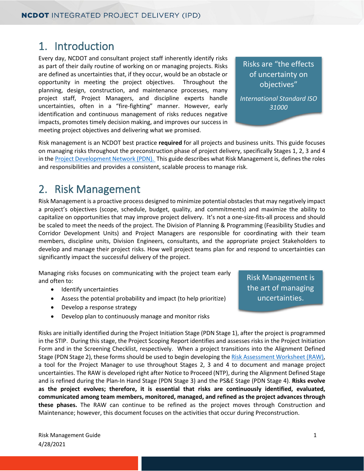### <span id="page-3-0"></span>1. Introduction

Every day, NCDOT and consultant project staff inherently identify risks as part of their daily routine of working on or managing projects. Risks are defined as uncertainties that, if they occur, would be an obstacle or opportunity in meeting the project objectives. Throughout the planning, design, construction, and maintenance processes, many project staff, Project Managers, and discipline experts handle uncertainties, often in a "fire-fighting" manner. However, early identification and continuous management of risks reduces negative impacts, promotes timely decision making, and improves our success in meeting project objectives and delivering what we promised.

Risks are "the effects of uncertainty on objectives"

*International Standard ISO 31000*

Risk management is an NCDOT best practice **required** for all projects and business units. This guide focuses on managing risks throughout the preconstruction phase of project delivery, specifically Stages 1, 2, 3 and 4 in th[e Project Development Network \(PDN\).](https://connect.ncdot.gov/projects/Project-Management/Pages/default.aspx) This guide describes what Risk Management is, defines the roles and responsibilities and provides a consistent, scalable process to manage risk.

### <span id="page-3-1"></span>2. Risk Management

Risk Management is a proactive process designed to minimize potential obstacles that may negatively impact a project's objectives (scope, schedule, budget, quality, and commitments) and maximize the ability to capitalize on opportunities that may improve project delivery. It's not a one-size-fits-all process and should be scaled to meet the needs of the project. The Division of Planning & Programming (Feasibility Studies and Corridor Development Units) and Project Managers are responsible for coordinating with their team members, discipline units, Division Engineers, consultants, and the appropriate project Stakeholders to develop and manage their project risks. How well project teams plan for and respond to uncertainties can significantly impact the successful delivery of the project.

Managing risks focuses on communicating with the project team early and often to:

- Identify uncertainties
- Assess the potential probability and impact (to help prioritize)
- Develop a response strategy
- Develop plan to continuously manage and monitor risks

Risk Management is the art of managing uncertainties.

Risks are initially identified during the Project Initiation Stage (PDN Stage 1), after the project is programmed in the STIP. During this stage, the Project Scoping Report identifies and assesses risks in the Project Initiation Form and in the Screening Checklist, respectively. When a project transitions into the Alignment Defined Stage (PDN Stage 2), these forms should be used to begin developing th[e Risk Assessment Worksheet \(RAW\),](https://connect.ncdot.gov/projects/Value-Management/Risk-Assessment/Pages/default.aspx) a tool for the Project Manager to use throughout Stages 2, 3 and 4 to document and manage project uncertainties. The RAW is developed right after Notice to Proceed (NTP), during the Alignment Defined Stage and is refined during the Plan-In Hand Stage (PDN Stage 3) and the PS&E Stage (PDN Stage 4). **Risks evolve as the project evolves; therefore, it is essential that risks are continuously identified, evaluated, communicated among team members, monitored, managed, and refined as the project advances through these phases.** The RAW can continue to be refined as the project moves through Construction and Maintenance; however, this document focuses on the activities that occur during Preconstruction.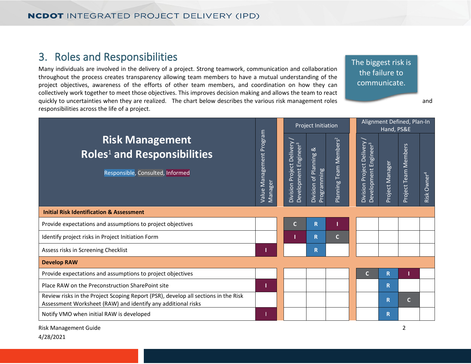### 3. Roles and Responsibilities

Many individuals are involved in the delivery of a project. Strong teamwork, communication and collaboration throughout the process creates transparency allowing team members to have a mutual understanding of the project objectives, awareness of the efforts of other team members, and coordination on how they can collectively work together to meet those objectives. This improves decision making and allows the team to react quickly to uncertainties when they are realized. The chart below describes the various risk management roles and responsibilities across the life of a project.

The biggest risk is the failure to communicate.

<span id="page-4-0"></span>

| <b>Risk Management</b><br><b>Roles<sup>1</sup></b> and Responsibilities<br>Responsible, Consulted, Informed                                        |  |  | Project Initiation                                                |                                             |                                                    | Alignment Defined, Plan-In<br>Hand, PS&E |                                                                   |                 |                                             |                            |
|----------------------------------------------------------------------------------------------------------------------------------------------------|--|--|-------------------------------------------------------------------|---------------------------------------------|----------------------------------------------------|------------------------------------------|-------------------------------------------------------------------|-----------------|---------------------------------------------|----------------------------|
|                                                                                                                                                    |  |  | Project Delivery<br>Development Engineer <sup>3</sup><br>Division | ಹ<br>of Planning<br>Programming<br>Division | Team Members <sup>2</sup><br>Planning <sup>-</sup> |                                          | Project Delivery<br>Development Engineer <sup>3</sup><br>Division | Project Manager | <b>Team Members</b><br>Project <sup>-</sup> | Owner <sup>4</sup><br>Risk |
| <b>Initial Risk Identification &amp; Assessment</b>                                                                                                |  |  |                                                                   |                                             |                                                    |                                          |                                                                   |                 |                                             |                            |
| Provide expectations and assumptions to project objectives                                                                                         |  |  | C                                                                 | $\mathsf{R}$                                |                                                    |                                          |                                                                   |                 |                                             |                            |
| Identify project risks in Project Initiation Form                                                                                                  |  |  |                                                                   | R                                           | $\mathbf C$                                        |                                          |                                                                   |                 |                                             |                            |
| Assess risks in Screening Checklist                                                                                                                |  |  |                                                                   | $\mathsf{R}$                                |                                                    |                                          |                                                                   |                 |                                             |                            |
| <b>Develop RAW</b>                                                                                                                                 |  |  |                                                                   |                                             |                                                    |                                          |                                                                   |                 |                                             |                            |
| Provide expectations and assumptions to project objectives                                                                                         |  |  |                                                                   |                                             |                                                    |                                          | C.                                                                | R               |                                             |                            |
| Place RAW on the Preconstruction SharePoint site                                                                                                   |  |  |                                                                   |                                             |                                                    |                                          |                                                                   | R               |                                             |                            |
| Review risks in the Project Scoping Report (PSR), develop all sections in the Risk<br>Assessment Worksheet (RAW) and identify any additional risks |  |  |                                                                   |                                             |                                                    |                                          |                                                                   | R               | C                                           |                            |
| Notify VMO when initial RAW is developed                                                                                                           |  |  |                                                                   |                                             |                                                    |                                          |                                                                   | R               |                                             |                            |

Risk Management Guide 2 4/28/2021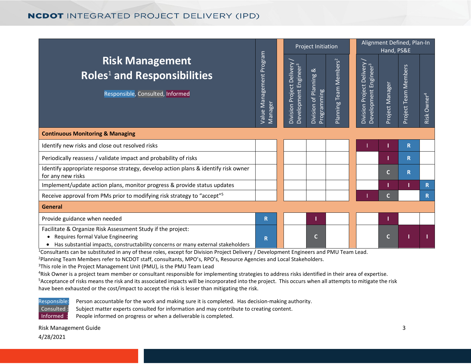### **NCDOT INTEGRATED PROJECT DELIVERY (IPD)**

|                                                                                                                                                                                      |                                          |                                                                | Project Initiation                              |                                                        |                                                                          | Alignment Defined, Plan-In<br>Hand, PS&E |                      |                         |  |
|--------------------------------------------------------------------------------------------------------------------------------------------------------------------------------------|------------------------------------------|----------------------------------------------------------------|-------------------------------------------------|--------------------------------------------------------|--------------------------------------------------------------------------|------------------------------------------|----------------------|-------------------------|--|
| <b>Risk Management</b><br><b>Roles<sup>1</sup></b> and Responsibilities<br>Responsible, Consulted, Informed                                                                          | Management Program<br>Manager<br>Value I | Division Project Delivery<br>Development Engineer <sup>3</sup> | ઌ્ઝ<br>Planning<br>Programming<br>ಕ<br>Division | eam Members <sup>2</sup><br>F<br>Planning <sup>-</sup> | Project Delivery<br>$\mathbf{e}^2$<br>Enginee<br>Development<br>Division | Project Manager                          | Project Team Members | Risk Owner <sup>4</sup> |  |
| <b>Continuous Monitoring &amp; Managing</b>                                                                                                                                          |                                          |                                                                |                                                 |                                                        |                                                                          |                                          |                      |                         |  |
| Identify new risks and close out resolved risks                                                                                                                                      |                                          |                                                                |                                                 |                                                        |                                                                          |                                          | R                    |                         |  |
| Periodically reassess / validate impact and probability of risks                                                                                                                     |                                          |                                                                |                                                 |                                                        |                                                                          |                                          | R                    |                         |  |
| Identify appropriate response strategy, develop action plans & identify risk owner<br>for any new risks                                                                              |                                          |                                                                |                                                 |                                                        |                                                                          | Ċ                                        | $\mathbf R$          |                         |  |
| Implement/update action plans, monitor progress & provide status updates                                                                                                             |                                          |                                                                |                                                 |                                                        |                                                                          |                                          |                      | R.                      |  |
| Receive approval from PMs prior to modifying risk strategy to "accept" <sup>5</sup>                                                                                                  |                                          |                                                                |                                                 |                                                        |                                                                          | C                                        |                      | R.                      |  |
| <b>General</b>                                                                                                                                                                       |                                          |                                                                |                                                 |                                                        |                                                                          |                                          |                      |                         |  |
| Provide guidance when needed                                                                                                                                                         | R.                                       |                                                                |                                                 |                                                        |                                                                          |                                          |                      |                         |  |
| Facilitate & Organize Risk Assessment Study if the project:<br>Requires formal Value Engineering<br>Has substantial impacts, constructability concerns or many external stakeholders | R                                        |                                                                | $\mathbf C$                                     |                                                        |                                                                          | C                                        |                      |                         |  |

<sup>1</sup>Consultants can be substituted in any of these roles, except for Division Project Delivery / Development Engineers and PMU Team Lead.

<sup>2</sup>Planning Team Members refer to NCDOT staff, consultants, MPO's, RPO's, Resource Agencies and Local Stakeholders.

<sup>3</sup>This role in the Project Management Unit (PMU), is the PMU Team Lead

<sup>4</sup>Risk Owner is a project team member or consultant responsible for implementing strategies to address risks identified in their area of expertise.<br>SAccentance of risks means the risk and its associated impacts will be in <sup>5</sup>Acceptance of risks means the risk and its associated impacts will be incorporated into the project. This occurs when all attempts to mitigate the risk have been exhausted or the cost/impact to accept the risk is lesser than mitigating the risk.



Responsible: Person accountable for the work and making sure it is completed. Has decision-making authority. Consulted : Subject matter experts consulted for information and may contribute to creating content. Informed : People informed on progress or when a deliverable is completed.

Risk Management Guide 3 4/28/2021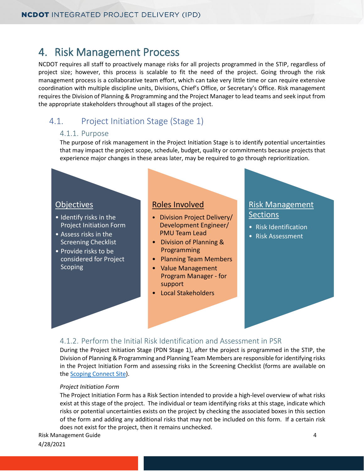### <span id="page-6-0"></span>4. Risk Management Process

NCDOT requires all staff to proactively manage risks for all projects programmed in the STIP, regardless of project size; however, this process is scalable to fit the need of the project. Going through the risk management process is a collaborative team effort, which can take very little time or can require extensive coordination with multiple discipline units, Divisions, Chief's Office, or Secretary's Office. Risk management requires the Division of Planning & Programming and the Project Manager to lead teams and seek input from the appropriate stakeholders throughout all stages of the project.

### <span id="page-6-2"></span><span id="page-6-1"></span>4.1. Project Initiation Stage (Stage 1)

#### 4.1.1. Purpose

The purpose of risk management in the Project Initiation Stage is to identify potential uncertainties that may impact the project scope, schedule, budget, quality or commitments because projects that experience major changes in these areas later, may be required to go through reprioritization.

#### **Objectives**

- Identify risks in the Project Initiation Form
- Assess risks in the Screening Checklist
- Provide risks to be considered for Project **Scoping**

#### Roles Involved

- Division Project Delivery/ . Development Engineer/ . PMU Team Lead
- Division of Planning & . Programming
- Planning Team Members
- Value Management . Program Manager - for . support
- Local Stakeholders

#### Risk Management **Sections**

- Risk Identification
- Risk Assessment

#### <span id="page-6-3"></span>4.1.2. Perform the Initial Risk Identification and Assessment in PSR

During the Project Initiation Stage (PDN Stage 1), after the project is programmed in the STIP, the Division of Planning & Programming and Planning Team Members are responsible for identifying risks in the Project Initiation Form and assessing risks in the Screening Checklist (forms are available on the [Scoping Connect Site\)](https://connect.ncdot.gov/site/scoping/Help/Forms/AllItems.aspx#InplviewHashd48b231c-fac8-4e30-b45e-0a11f4e95bac=).

#### *Project Initiation Form*

The Project Initiation Form has a Risk Section intended to provide a high-level overview of what risks exist at this stage of the project. The individual or team identifying risks at this stage, indicate which risks or potential uncertainties exists on the project by checking the associated boxes in this section of the form and adding any additional risks that may not be included on this form. If a certain risk does not exist for the project, then it remains unchecked.

Risk Management Guide 4

4/28/2021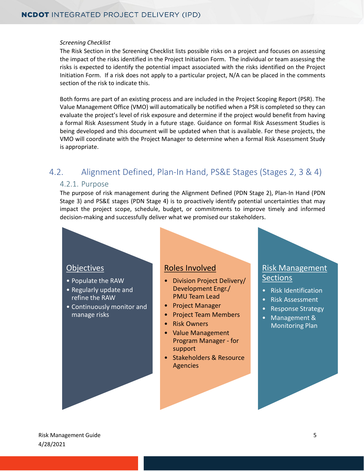#### *Screening Checklist*

The Risk Section in the Screening Checklist lists possible risks on a project and focuses on assessing the impact of the risks identified in the Project Initiation Form. The individual or team assessing the risks is expected to identify the potential impact associated with the risks identified on the Project Initiation Form. If a risk does not apply to a particular project, N/A can be placed in the comments section of the risk to indicate this.

Both forms are part of an existing process and are included in the Project Scoping Report (PSR). The Value Management Office (VMO) will automatically be notified when a PSR is completed so they can evaluate the project's level of risk exposure and determine if the project would benefit from having a formal Risk Assessment Study in a future stage. Guidance on formal Risk Assessment Studies is being developed and this document will be updated when that is available. For these projects, the VMO will coordinate with the Project Manager to determine when a formal Risk Assessment Study is appropriate.

### <span id="page-7-1"></span><span id="page-7-0"></span>4.2. Alignment Defined, Plan-In Hand, PS&E Stages (Stages 2, 3 & 4)

#### 4.2.1. Purpose

The purpose of risk management during the Alignment Defined (PDN Stage 2), Plan-In Hand (PDN Stage 3) and PS&E stages (PDN Stage 4) is to proactively identify potential uncertainties that may impact the project scope, schedule, budget, or commitments to improve timely and informed decision-making and successfully deliver what we promised our stakeholders.

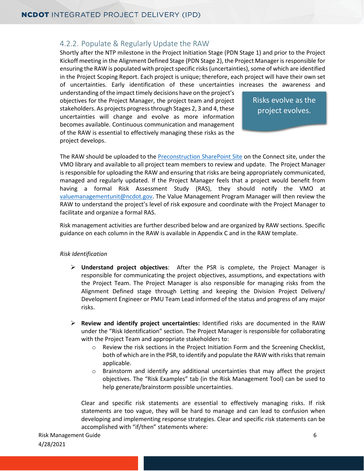#### <span id="page-8-0"></span>4.2.2. Populate & Regularly Update the RAW

Shortly after the NTP milestone in the Project Initiation Stage (PDN Stage 1) and prior to the Project Kickoff meeting in the Alignment Defined Stage (PDN Stage 2), the Project Manager is responsible for ensuring the RAW is populated with project specific risks (uncertainties), some of which are identified in the Project Scoping Report. Each project is unique; therefore, each project will have their own set of uncertainties. Early identification of these uncertainties increases the awareness and

understanding of the impact timely decisions have on the project's objectives for the Project Manager, the project team and project stakeholders. As projects progress through Stages 2, 3 and 4, these uncertainties will change and evolve as more information becomes available. Continuous communication and management of the RAW is essential to effectively managing these risks as the project develops.

Risks evolve as the project evolves.

The RAW should be uploaded to th[e Preconstruction SharePoint Site](https://connect.ncdot.gov/site/preconstruction/Pages/Default.aspx) on the Connect site, under the VMO library and available to all project team members to review and update. The Project Manager is responsible for uploading the RAW and ensuring that risks are being appropriately communicated, managed and regularly updated. If the Project Manager feels that a project would benefit from having a formal Risk Assessment Study (RAS), they should notify the VMO at [valuemanagementunit@ncdot.gov.](mailto:valuemanagementunit@ncdot.gov) The Value Management Program Manager will then review the RAW to understand the project's level of risk exposure and coordinate with the Project Manager to facilitate and organize a formal RAS.

Risk management activities are further described below and are organized by RAW sections. Specific guidance on each column in the RAW is available in Appendix C and in the RAW template.

#### *Risk Identification*

- **Understand project objectives**: After the PSR is complete, the Project Manager is responsible for communicating the project objectives, assumptions, and expectations with the Project Team. The Project Manager is also responsible for managing risks from the Alignment Defined stage through Letting and keeping the Division Project Delivery/ Development Engineer or PMU Team Lead informed of the status and progress of any major risks.
- **Review and identify project uncertainties:** Identified risks are documented in the RAW under the "Risk Identification" section. The Project Manager is responsible for collaborating with the Project Team and appropriate stakeholders to:
	- o Review the risk sections in the Project Initiation Form and the Screening Checklist, both of which are in the PSR, to identify and populate the RAW with risks that remain applicable.
	- o Brainstorm and identify any additional uncertainties that may affect the project objectives. The "Risk Examples" tab (in the Risk Management Tool) can be used to help generate/brainstorm possible uncertainties.

Clear and specific risk statements are essential to effectively managing risks. If risk statements are too vague, they will be hard to manage and can lead to confusion when developing and implementing response strategies. Clear and specific risk statements can be accomplished with "if/then" statements where:

Risk Management Guide 6 and 1999 and 1999 and 1999 and 1999 and 1999 and 1999 and 1999 and 1999 and 1999 and 1 4/28/2021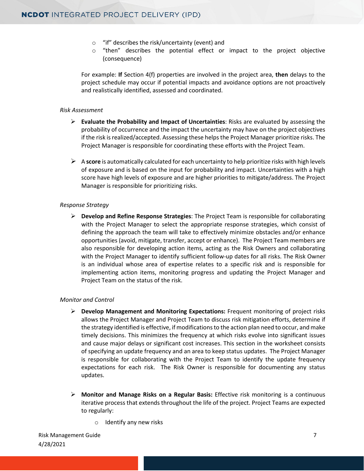- o "if" describes the risk/uncertainty (event) and
- o "then" describes the potential effect or impact to the project objective (consequence)

For example: **If** Section 4(f) properties are involved in the project area, **then** delays to the project schedule may occur if potential impacts and avoidance options are not proactively and realistically identified, assessed and coordinated.

#### *Risk Assessment*

- **Evaluate the Probability and Impact of Uncertainties**: Risks are evaluated by assessing the probability of occurrence and the impact the uncertainty may have on the project objectives if the risk is realized/accepted. Assessing these helps the Project Manager prioritize risks. The Project Manager is responsible for coordinating these efforts with the Project Team.
- A **score** is automatically calculated for each uncertainty to help prioritize risks with high levels of exposure and is based on the input for probability and impact. Uncertainties with a high score have high levels of exposure and are higher priorities to mitigate/address. The Project Manager is responsible for prioritizing risks.

#### *Response Strategy*

 **Develop and Refine Response Strategies**: The Project Team is responsible for collaborating with the Project Manager to select the appropriate response strategies, which consist of defining the approach the team will take to effectively minimize obstacles and/or enhance opportunities (avoid, mitigate, transfer, accept or enhance). The Project Team members are also responsible for developing action items, acting as the Risk Owners and collaborating with the Project Manager to identify sufficient follow-up dates for all risks. The Risk Owner is an individual whose area of expertise relates to a specific risk and is responsible for implementing action items, monitoring progress and updating the Project Manager and Project Team on the status of the risk.

#### *Monitor and Control*

- **Develop Management and Monitoring Expectations:** Frequent monitoring of project risks allows the Project Manager and Project Team to discuss risk mitigation efforts, determine if the strategy identified is effective, if modifications to the action plan need to occur, and make timely decisions. This minimizes the frequency at which risks evolve into significant issues and cause major delays or significant cost increases. This section in the worksheet consists of specifying an update frequency and an area to keep status updates. The Project Manager is responsible for collaborating with the Project Team to identify the update frequency expectations for each risk. The Risk Owner is responsible for documenting any status updates.
- **Monitor and Manage Risks on a Regular Basis:** Effective risk monitoring is a continuous iterative process that extends throughout the life of the project. Project Teams are expected to regularly:
	- o Identify any new risks

Risk Management Guide 7 4/28/2021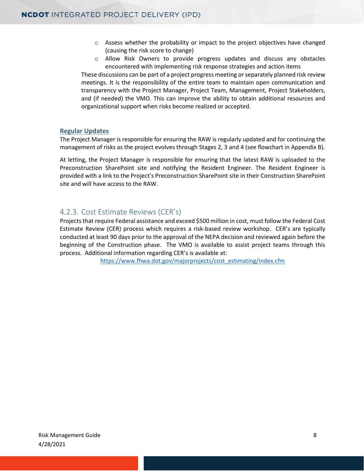- $\circ$  Assess whether the probability or impact to the project objectives have changed (causing the risk score to change)
- o Allow Risk Owners to provide progress updates and discuss any obstacles encountered with implementing risk response strategies and action items

These discussions can be part of a project progress meeting or separately planned risk review meetings. It is the responsibility of the entire team to maintain open communication and transparency with the Project Manager, Project Team, Management, Project Stakeholders, and (if needed) the VMO. This can improve the ability to obtain additional resources and organizational support when risks become realized or accepted.

#### **Regular Updates**

The Project Manager is responsible for ensuring the RAW is regularly updated and for continuing the management of risks as the project evolves through Stages 2, 3 and 4 (see flowchart in Appendix B).

At letting, the Project Manager is responsible for ensuring that the latest RAW is uploaded to the Preconstruction SharePoint site and notifying the Resident Engineer. The Resident Engineer is provided with a link to the Project's Preconstruction SharePoint site in their Construction SharePoint site and will have access to the RAW.

#### <span id="page-10-0"></span>4.2.3. Cost Estimate Reviews (CER's)

Projects that require Federal assistance and exceed \$500 million in cost, must follow the Federal Cost Estimate Review (CER) process which requires a risk-based review workshop. CER's are typically conducted at least 90 days prior to the approval of the NEPA decision and reviewed again before the beginning of the Construction phase. The VMO is available to assist project teams through this process. Additional information regarding CER's is available at:

https://www.fhwa.dot.gov/majorprojects/cost\_estimating/index.cfm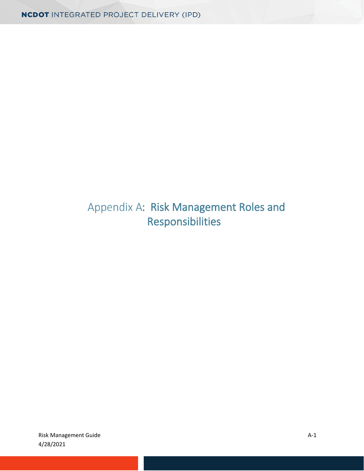# <span id="page-11-0"></span>Appendix A: Risk Management Roles and Responsibilities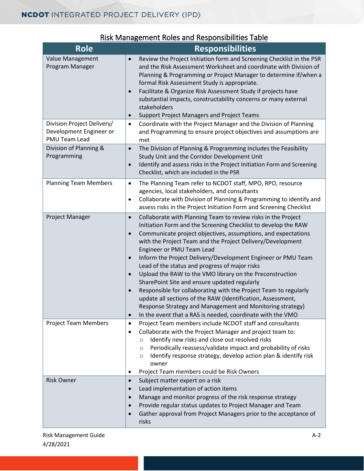<span id="page-12-0"></span>

| <b>Role</b>                                                                   | <b>Responsibilities</b>                                                                                                                                                                                                                                                                                                                                                                                                                                                                                                                                                                                                                                                                                                                                                                                                                                  |
|-------------------------------------------------------------------------------|----------------------------------------------------------------------------------------------------------------------------------------------------------------------------------------------------------------------------------------------------------------------------------------------------------------------------------------------------------------------------------------------------------------------------------------------------------------------------------------------------------------------------------------------------------------------------------------------------------------------------------------------------------------------------------------------------------------------------------------------------------------------------------------------------------------------------------------------------------|
| Value Management<br>Program Manager                                           | Review the Project Initiation form and Screening Checklist in the PSR<br>$\bullet$<br>and the Risk Assessment Worksheet and coordinate with Division of<br>Planning & Programming or Project Manager to determine if/when a<br>formal Risk Assessment Study is appropriate.<br>Facilitate & Organize Risk Assessment Study if projects have<br>$\bullet$<br>substantial impacts, constructability concerns or many external<br>stakeholders<br><b>Support Project Managers and Project Teams</b><br>$\bullet$                                                                                                                                                                                                                                                                                                                                            |
| Division Project Delivery/<br>Development Engineer or<br><b>PMU Team Lead</b> | Coordinate with the Project Manager and the Division of Planning<br>$\bullet$<br>and Programming to ensure project objectives and assumptions are<br>met                                                                                                                                                                                                                                                                                                                                                                                                                                                                                                                                                                                                                                                                                                 |
| Division of Planning &<br>Programming                                         | The Division of Planning & Programming includes the Feasibility<br>$\bullet$<br>Study Unit and the Corridor Development Unit<br>Identify and assess risks in the Project Initiation Form and Screening<br>$\bullet$<br>Checklist, which are included in the PSR                                                                                                                                                                                                                                                                                                                                                                                                                                                                                                                                                                                          |
| <b>Planning Team Members</b>                                                  | The Planning Team refer to NCDOT staff, MPO, RPO, resource<br>٠<br>agencies, local stakeholders, and consultants<br>Collaborate with Division of Planning & Programming to identify and<br>$\bullet$<br>assess risks in the Project Initiation Form and Screening Checklist                                                                                                                                                                                                                                                                                                                                                                                                                                                                                                                                                                              |
| Project Manager                                                               | Collaborate with Planning Team to review risks in the Project<br>$\bullet$<br>Initiation Form and the Screening Checklist to develop the RAW<br>Communicate project objectives, assumptions, and expectations<br>$\bullet$<br>with the Project Team and the Project Delivery/Development<br>Engineer or PMU Team Lead<br>Inform the Project Delivery/Development Engineer or PMU Team<br>$\bullet$<br>Lead of the status and progress of major risks<br>Upload the RAW to the VMO library on the Preconstruction<br>$\bullet$<br>SharePoint Site and ensure updated regularly<br>Responsible for collaborating with the Project Team to regularly<br>update all sections of the RAW (Identification, Assessment,<br>Response Strategy and Management and Monitoring strategy)<br>In the event that a RAS is needed, coordinate with the VMO<br>$\bullet$ |
| <b>Project Team Members</b>                                                   | Project Team members include NCDOT staff and consultants<br>$\bullet$<br>Collaborate with the Project Manager and project team to:<br>٠<br>Identify new risks and close out resolved risks<br>$\circ$<br>Periodically reassess/validate impact and probability of risks<br>$\circ$<br>Identify response strategy, develop action plan & identify risk<br>O<br>owner<br>Project Team members could be Risk Owners<br>٠                                                                                                                                                                                                                                                                                                                                                                                                                                    |
| <b>Risk Owner</b>                                                             | Subject matter expert on a risk<br>$\bullet$<br>Lead implementation of action items<br>$\bullet$<br>Manage and monitor progress of the risk response strategy<br>$\bullet$<br>Provide regular status updates to Project Manager and Team<br>$\bullet$<br>Gather approval from Project Managers prior to the acceptance of<br>$\bullet$<br>risks                                                                                                                                                                                                                                                                                                                                                                                                                                                                                                          |

### Risk Management Roles and Responsibilities Table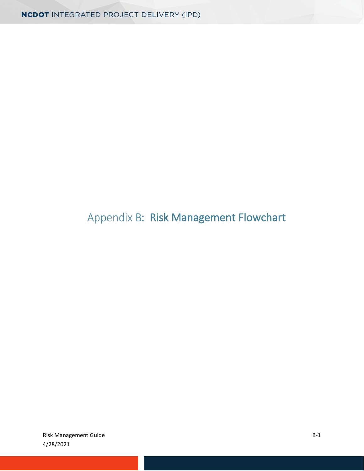# Appendix B: Risk Management Flowchart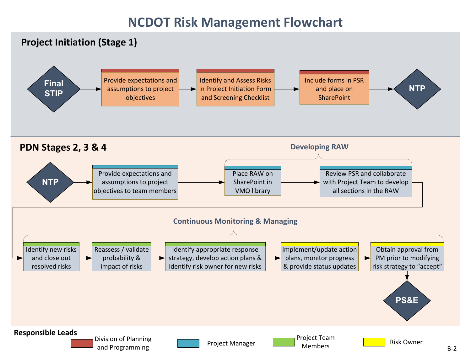# **NCDOT Risk Management Flowchart**

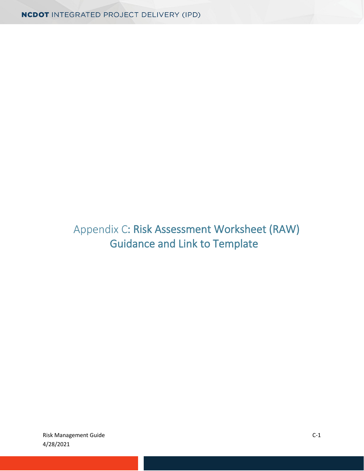# <span id="page-15-0"></span>Appendix C: Risk Assessment Worksheet (RAW) Guidance and Link to Template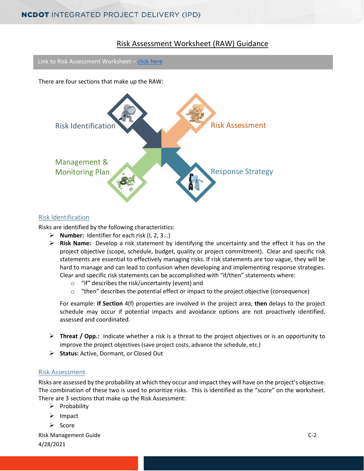#### Risk Assessment Worksheet (RAW) Guidance

Link to Risk Assessment Worksheet – [click here](https://connect.ncdot.gov/projects/Value-Management/Risk-Assessment/Pages/default.aspx)

There are four sections that make up the RAW:



#### Risk Identification

Risks are identified by the following characteristics:

- **Number:** Identifier for each risk (I, 2, 3...)
- **Risk Name:** Develop a risk statement by identifying the uncertainty and the effect it has on the project objective (scope, schedule, budget, quality or project commitment). Clear and specific risk statements are essential to effectively managing risks. If risk statements are too vague, they will be hard to manage and can lead to confusion when developing and implementing response strategies. Clear and specific risk statements can be accomplished with "if/then" statements where:
	- o "if" describes the risk/uncertainty (event) and
	- $\circ$  "then" describes the potential effect or impact to the project objective (consequence)

For example: **If Section** 4(f) properties are involved in the project area, **then** delays to the project schedule may occur if potential impacts and avoidance options are not proactively identified, assessed and coordinated.

- **Threat / Opp.:** Indicate whether a risk is a threat to the project objectives or is an opportunity to improve the project objectives (save project costs, advance the schedule, etc.)
- **Status:** Active, Dormant, or Closed Out

#### Risk Assessment

Risks are assessed by the probability at which they occur and impact they will have on the project's objective. The combination of these two is used to prioritize risks. This is identified as the "score" on the worksheet. There are 3 sections that make up the Risk Assessment:

- $\triangleright$  Probability
- $\triangleright$  Impact
- $\triangleright$  Score

Risk Management Guide Castle Communication of the Communication of the Communication of C-2 4/28/2021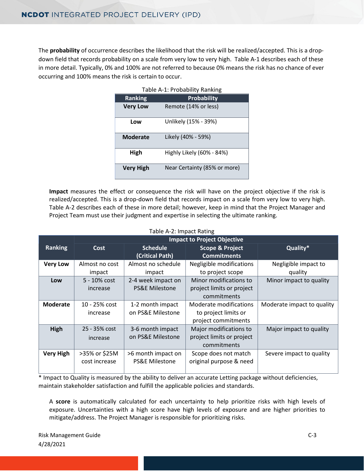The **probability** of occurrence describes the likelihood that the risk will be realized/accepted. This is a dropdown field that records probability on a scale from very low to very high. Table A-1 describes each of these in more detail. Typically, 0% and 100% are not referred to because 0% means the risk has no chance of ever occurring and 100% means the risk is certain to occur.

| <b>Ranking</b>   | <b>Probability</b>           |
|------------------|------------------------------|
| <b>Very Low</b>  | Remote (14% or less)         |
| Low              | Unlikely (15% - 39%)         |
| <b>Moderate</b>  | Likely (40% - 59%)           |
| High             | Highly Likely (60% - 84%)    |
| <b>Very High</b> | Near Certainty (85% or more) |

|  |  | Table A-1: Probability Ranking |
|--|--|--------------------------------|
|  |  |                                |

**Impact** measures the effect or consequence the risk will have on the project objective if the risk is realized/accepted. This is a drop-down field that records impact on a scale from very low to very high. Table A-2 describes each of these in more detail; however, keep in mind that the Project Manager and Project Team must use their judgment and expertise in selecting the ultimate ranking.

| Table / T 2. Illipact Rating |                 |                           |                                    |                            |  |  |  |
|------------------------------|-----------------|---------------------------|------------------------------------|----------------------------|--|--|--|
|                              |                 |                           | <b>Impact to Project Objective</b> |                            |  |  |  |
| <b>Ranking</b>               | Cost            | <b>Schedule</b>           | <b>Scope &amp; Project</b>         | Quality*                   |  |  |  |
|                              |                 | (Critical Path)           | <b>Commitments</b>                 |                            |  |  |  |
| <b>Very Low</b>              | Almost no cost  | Almost no schedule        | Negligible modifications           | Negligible impact to       |  |  |  |
|                              | impact          | impact                    | to project scope                   | quality                    |  |  |  |
| Low                          | $5 - 10\%$ cost | 2-4 week impact on        | Minor modifications to             | Minor impact to quality    |  |  |  |
|                              | increase        | <b>PS&amp;E Milestone</b> | project limits or project          |                            |  |  |  |
|                              |                 |                           | commitments                        |                            |  |  |  |
| <b>Moderate</b>              | 10 - 25% cost   | 1-2 month impact          | Moderate modifications             | Moderate impact to quality |  |  |  |
|                              | increase        | on PS&E Milestone         | to project limits or               |                            |  |  |  |
|                              |                 |                           | project commitments                |                            |  |  |  |
| High                         | 25 - 35% cost   | 3-6 month impact          | Major modifications to             | Major impact to quality    |  |  |  |
|                              | increase        | on PS&E Milestone         | project limits or project          |                            |  |  |  |
|                              |                 |                           | commitments                        |                            |  |  |  |
| <b>Very High</b>             | >35% or \$25M   | >6 month impact on        | Scope does not match               | Severe impact to quality   |  |  |  |
|                              | cost increase   | <b>PS&amp;E Milestone</b> | original purpose & need            |                            |  |  |  |
|                              |                 |                           |                                    |                            |  |  |  |

| Table A-2: Impact Rating |  |  |
|--------------------------|--|--|
|--------------------------|--|--|

\* Impact to Quality is measured by the ability to deliver an accurate Letting package without deficiencies, maintain stakeholder satisfaction and fulfill the applicable policies and standards.

A **score** is automatically calculated for each uncertainty to help prioritize risks with high levels of exposure. Uncertainties with a high score have high levels of exposure and are higher priorities to mitigate/address. The Project Manager is responsible for prioritizing risks.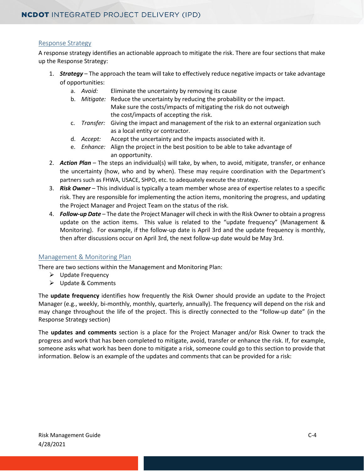#### Response Strategy

A response strategy identifies an actionable approach to mitigate the risk. There are four sections that make up the Response Strategy:

- 1. *Strategy* The approach the team will take to effectively reduce negative impacts or take advantage of opportunities:
	- a. *Avoid:* Eliminate the uncertainty by removing its cause
	- b. *Mitigate:* Reduce the uncertainty by reducing the probability or the impact. Make sure the costs/impacts of mitigating the risk do not outweigh the cost/impacts of accepting the risk.
	- c. *Transfer:* Giving the impact and management of the risk to an external organization such as a local entity or contractor.
	- d. *Accept:* Accept the uncertainty and the impacts associated with it.
	- e. *Enhance:* Align the project in the best position to be able to take advantage of an opportunity.
- 2. *Action Plan* The steps an individual(s) will take, by when, to avoid, mitigate, transfer, or enhance the uncertainty (how, who and by when). These may require coordination with the Department's partners such as FHWA, USACE, SHPO, etc. to adequately execute the strategy.
- 3. *Risk Owner* This individual is typically a team member whose area of expertise relates to a specific risk. They are responsible for implementing the action items, monitoring the progress, and updating the Project Manager and Project Team on the status of the risk.
- 4. *Follow-up Date* The date the Project Manager will check in with the Risk Owner to obtain a progress update on the action items. This value is related to the "update frequency" (Management & Monitoring). For example, if the follow-up date is April 3rd and the update frequency is monthly, then after discussions occur on April 3rd, the next follow-up date would be May 3rd.

#### Management & Monitoring Plan

There are two sections within the Management and Monitoring Plan:

- $\triangleright$  Update Frequency
- Update & Comments

The **update frequency** identifies how frequently the Risk Owner should provide an update to the Project Manager (e.g., weekly, bi-monthly, monthly, quarterly, annually). The frequency will depend on the risk and may change throughout the life of the project. This is directly connected to the "follow-up date" (in the Response Strategy section)

The **updates and comments** section is a place for the Project Manager and/or Risk Owner to track the progress and work that has been completed to mitigate, avoid, transfer or enhance the risk. If, for example, someone asks what work has been done to mitigate a risk, someone could go to this section to provide that information. Below is an example of the updates and comments that can be provided for a risk: